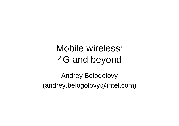# Mobile wireless: 4G and beyond

Andrey Belogolovy (andrey.belogolovy@intel.com)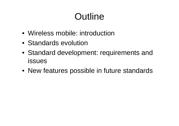# **Outline**

- Wireless mobile: introduction
- Standards evolution
- Standard development: requirements and issues
- New features possible in future standards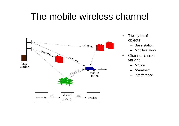# The mobile wireless channel



- • Two type of objects:
	- Base station
	- –Mobile station
- • Channel is time variant:
	- –**Motion**
	- –"Weather"
	- –Interference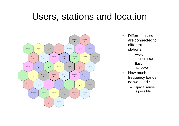## Users, stations and location



- • Different users are connected to different stations:
	- – Avoid interference
	- Easy handover
- $\bullet$  How much frequency bands do we need?
	- Spatial reuse is possible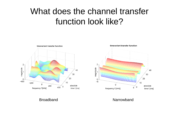#### What does the channel transfer function look like?





Broadband

Narrowband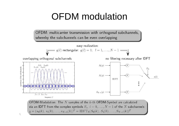# OFDM modulation

OFDM: multicarrier transmission with orthogonal subchannels, whereby the subchannels can be even overlapping



OFDM-Modulation: The  $N$  samples of the  $k$ -th OFDM-Symbol are calculated via an IDFT from the complex symbols  $S_i$ ,  $i = 0, ..., N - 1$  of the N subchannels:  $\underline{s} = (s_0(k), s_1(k), \ldots, s_{N-1}(k))^T = \text{IDFT}_N(S_0(k), S_1(k), \ldots, S_{N-1}(k))^T$ 

 $t_{\rm p}$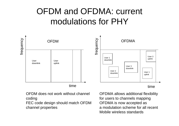#### OFDM and OFDMA: current modulations for PHY



OFDM does not work without channel coding

FEC code design should match OFDM channel properties

OFDMA allows additional flexibility for users to channels mapping OFDMA is now accepted as a modulation scheme for all recentMobile wireless standards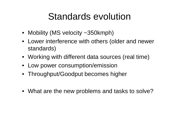# Standards evolution

- Mobility (MS velocity ~350kmph)
- Lower interference with others (older and newer standards)
- Working with different data sources (real time)
- Low power consumption/emission
- Throughput/Goodput becomes higher
- What are the new problems and tasks to solve?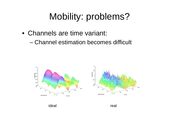# Mobility: problems?

- Channels are time variant:
	- Channel estimation becomes difficult



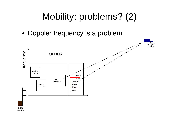# Mobility: problems? (2)

• Doppler frequency is a problem

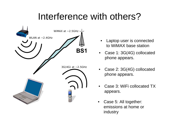# Interference with others?



- • Laptop user is connected to WiMAX base station
- $\bullet$  Case 1: 3G(4G) collocated phone appears.
- • Case 2: 3G(4G) collocated phone appears.
- • Case 3: WiFi collocated TX appears.
- $\bullet$  Case 5: All together: emissions at home or industry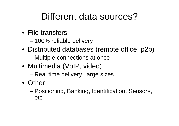# Different data sources?

- File transfers
	- 100% reliable delivery
- Distributed databases (remote office, p2p)
	- –Multiple connections at once
- Multimedia (VoIP, video)
	- Real time delivery, large sizes
- Other
	- – Positioning, Banking, Identification, Sensors, etc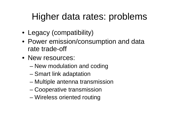# Higher data rates: problems

- Legacy (compatibility)
- Power emission/consumption and data rate trade-off
- New resources:
	- –New modulation and coding
	- –Smart link adaptation
	- Multiple antenna transmission
	- –Cooperative transmission
	- –Wireless oriented routing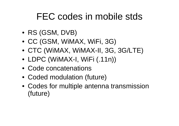# FEC codes in mobile stds

- RS (GSM, DVB)
- CC (GSM, WiMAX, WiFi, 3G)
- CTC (WiMAX, WiMAX-II, 3G, 3G/LTE)
- LDPC (WiMAX-I, WiFi (.11n))
- Code concatenations
- Coded modulation (future)
- Codes for multiple antenna transmission (future)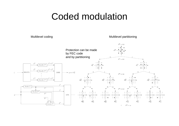#### Coded modulation

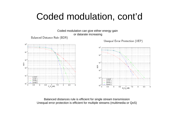### Coded modulation, cont'd



Balanced distances rule is efficient for single stream transmission Unequal error protection is efficient for multiple streams (multimedia or QoS)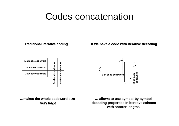#### Codes concatenation

**Traditional iterative coding Traditional iterative coding …**

| 1-st code codeword |           |           |
|--------------------|-----------|-----------|
| 1-st code codeword | odeword   | pdeword   |
| 1-st code codeword | ō<br>code |           |
|                    | $2-nd$    | 2-nd code |
|                    |           |           |
|                    |           |           |

**…makes the whole codeword size makes the whole codeword sizevery large very large**

**If we have a code with iterative decoding If we have a code with iterative decoding …**



**… allows to use symbol allows to use symbol-by-symbol decoding properties In iterative scheme decoding properties In iterative scheme with shorter lengths with shorter lengths**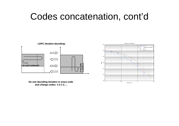#### Codes concatenation, cont'd



**Do one decoding iteration in every code Do one decoding iteration in every code and change codes: 1-2-1-2 ….**

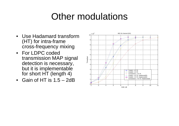# Other modulations

- Use Hadamard transform (HT) for intra-frame cross-frequency mixing
- For LDPC coded transmission MAP signal detection is necessary, but it is implementable for short HT (length 4)
- Gain of HT is 1.5 2dB

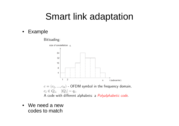## Smart link adaptation

#### $\bullet$ Example



• We need a new codes to match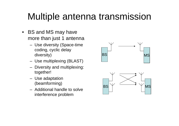# Multiple antenna transmission

- BS and MS may have more than just 1 antenna
	- Use diversity (Space-time coding, cyclic delay diversity)
	- Use multiplexing (BLAST)
	- Diversity and multiplexing: together!
	- Use adaptation (beamforming)
	- Additional handle to solve interference problem

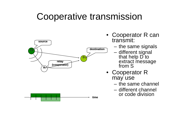# Cooperative transmission



- Cooperator R can<br>transmit:
	- the same signals
	- different signal that help D to extract message from S
- Cooperator R may use
	- the same channel
	- different channel or code division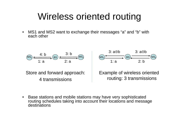# Wireless oriented routing

 $\bullet$  MS1 and MS2 want to exchange their messages "a" and "b" with each other



Store and forward approach: 4 transmissions



Example of wireless oriented routing: 3 transmissions

 $\bullet$  Base stations and mobile stations may have very sophisticated routing schedules taking into account their locations and message destinations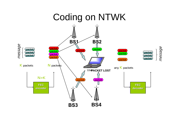### Coding on NTWK